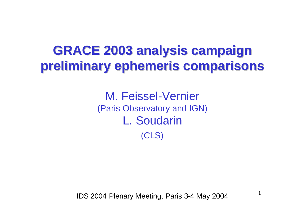# **GRACE 2003 analysis campaign preliminary ephemeris comparisons**

M. Feissel-Vernier (Paris Observatory and IGN) L. Soudarin (CLS)

IDS 2004 Plenary Meeting, Paris 3-4 May 2004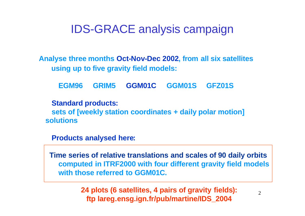# IDS-GRACE analysis campaign

**Analyse three months Oct-Nov-Dec 2002, from all six satellites using up to five gravity field models:** 

**EGM96 GRIM5 GGM01C GGM01S GFZ01S** 

**Standard products: sets of [weekly station coordinates + daily polar motion] solutions**

**Products analysed here:**

**Time series of relative translations and scales of 90 daily orbits computed in ITRF2000 with four different gravity field models with those referred to GGM01C.**

> **24 plots (6 satellites, 4 pairs of gravity fields): ftp lareg.ensg.ign.fr/pub/martine/IDS\_2004**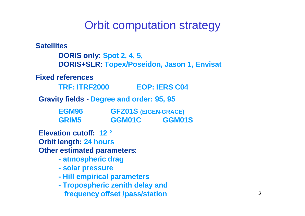# Orbit computation strategy

**Satellites DORIS only: Spot 2, 4, 5, DORIS+SLR: Topex/Poseidon, Jason 1, Envisat Fixed references TRF: ITRF2000 EOP: IERS C04 Gravity fields - Degree and order: 95, 95 EGM96 GFZ01S (EIGEN-GRACE) GRIM5 GGM01C GGM01S Elevation cutoff: 12 ° Orbit length: 24 hours Other estimated parameters: - atmospheric drag - solar pressure - Hill empirical parameters - Tropospheric zenith delay and frequency offset /pass/station**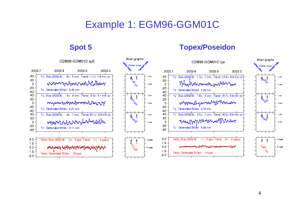# Example 1: EGM96-GGM01C

Allan graphs

#### **Spot 5 Topex/Poseidon**



Allan graphs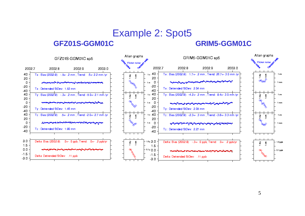# Example 2: Spot5

#### **GFZ01S-GGM01C GRIM5-GGM01C**

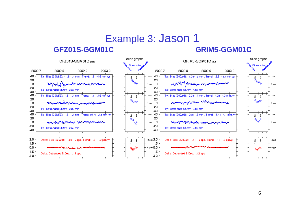# Example 3: Jason 1

#### **GFZ01S-GGM01C GRIM5-GGM01C**

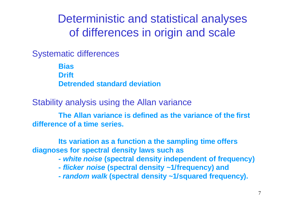Deterministic and statistical analyses of differences in origin and scale

Systematic differences

**Bias Drift Detrended standard deviation** 

Stability analysis using the Allan variance

**The Allan variance is defined as the variance of the first difference of a time series.** 

**Its variation as a function a the sampling time offers diagnoses for spectral density laws such as** 

- **-** *white noise* **(spectral density independent of frequency)**
- **-** *flicker noise* **(spectral density ~1/frequency) and**
- **-** *random walk* **(spectral density ~1/squared frequency).**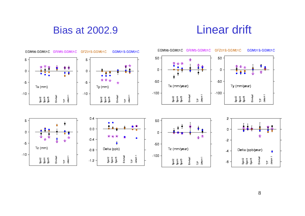## Bias at 2002.9 Linear drift

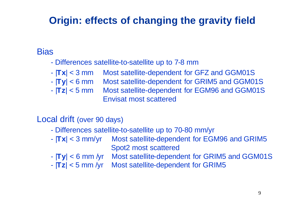# **Origin: effects of changing the gravity field**

#### **Bias**

- Differences satellite-to-satellite up to 7-8 mm
- |**Tx**| < 3 mm Most satellite-dependent for GFZ and GGM01S
- |**Ty**| < 6 mm Most satellite-dependent for GRIM5 and GGM01S
- |**Tz**| < 5 mm Most satellite-dependent for EGM96 and GGM01S Envisat most scattered

#### Local drift (over 90 days)

- Differences satellite-to-satellite up to 70-80 mm/yr
- |**Tx**| < 3 mm/yr Most satellite-dependent for EGM96 and GRIM5 Spot2 most scattered
- |**Ty**| < 6 mm /yr Most satellite-dependent for GRIM5 and GGM01S
- |**Tz**| < 5 mm /yr Most satellite-dependent for GRIM5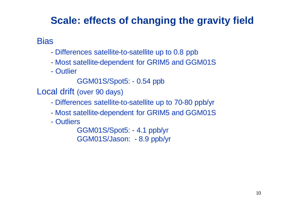# **Scale: effects of changing the gravity field**

**Bias** 

- Differences satellite-to-satellite up to 0.8 ppb
- Most satellite-dependent for GRIM5 and GGM01S
- Outlier
	- GGM01S/Spot5: 0.54 ppb
- Local drift (over 90 days)
	- Differences satellite-to-satellite up to 70-80 ppb/yr
	- Most satellite-dependent for GRIM5 and GGM01S
	- Outliers

GGM01S/Spot5: - 4.1 ppb/yr GGM01S/Jason: - 8.9 ppb/yr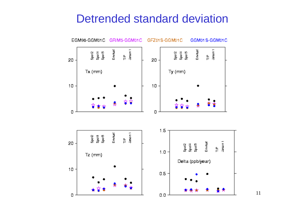# Detrended standard deviation

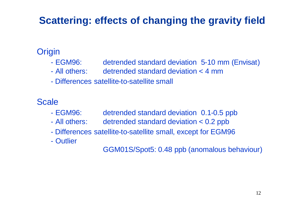# **Scattering: effects of changing the gravity field**

### **Origin**

- EGM96: detrended standard deviation 5-10 mm (Envisat)
- All others: detrended standard deviation < 4 mm
- Differences satellite-to-satellite small

**Scale** 

- EGM96: detrended standard deviation 0.1-0.5 ppb
- All others: detrended standard deviation < 0.2 ppb
- Differences satellite-to-satellite small, except for EGM96
- Outlier

GGM01S/Spot5: 0.48 ppb (anomalous behaviour)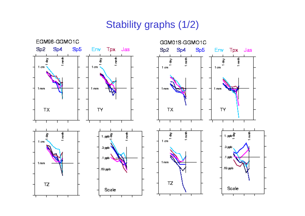# Stability graphs (1/2)

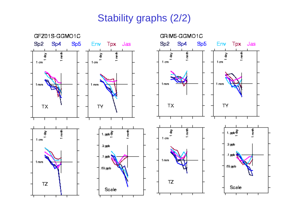# Stability graphs (2/2)

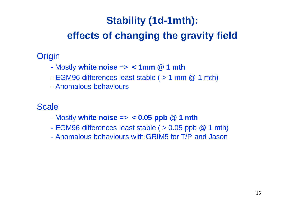# **Stability (1d-1mth):**

# **effects of changing the gravity field**

## **Origin**

- Mostly **white noise** => **< 1mm @ 1 mth**
- EGM96 differences least stable ( > 1 mm @ 1 mth)
- Anomalous behaviours

### **Scale**

- Mostly **white noise** => **< 0.05 ppb @ 1 mth**
- EGM96 differences least stable ( > 0.05 ppb @ 1 mth)
- Anomalous behaviours with GRIM5 for T/P and Jason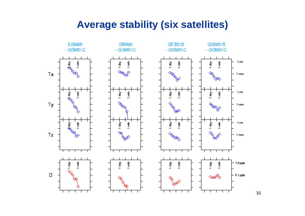## **Average stability (six satellites)**